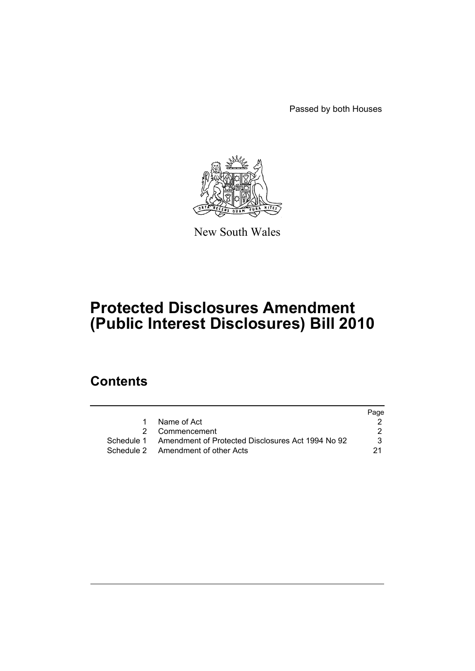Passed by both Houses



New South Wales

# **Protected Disclosures Amendment (Public Interest Disclosures) Bill 2010**

# **Contents**

| Page                                                              |
|-------------------------------------------------------------------|
|                                                                   |
|                                                                   |
| Schedule 1 Amendment of Protected Disclosures Act 1994 No 92<br>3 |
| -21                                                               |
|                                                                   |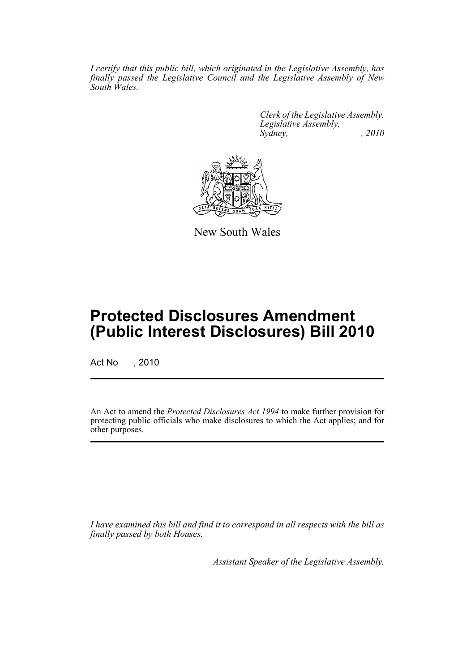*I certify that this public bill, which originated in the Legislative Assembly, has finally passed the Legislative Council and the Legislative Assembly of New South Wales.*

> *Clerk of the Legislative Assembly. Legislative Assembly, Sydney, , 2010*



New South Wales

# **Protected Disclosures Amendment (Public Interest Disclosures) Bill 2010**

Act No , 2010

An Act to amend the *Protected Disclosures Act 1994* to make further provision for protecting public officials who make disclosures to which the Act applies; and for other purposes.

*I have examined this bill and find it to correspond in all respects with the bill as finally passed by both Houses.*

*Assistant Speaker of the Legislative Assembly.*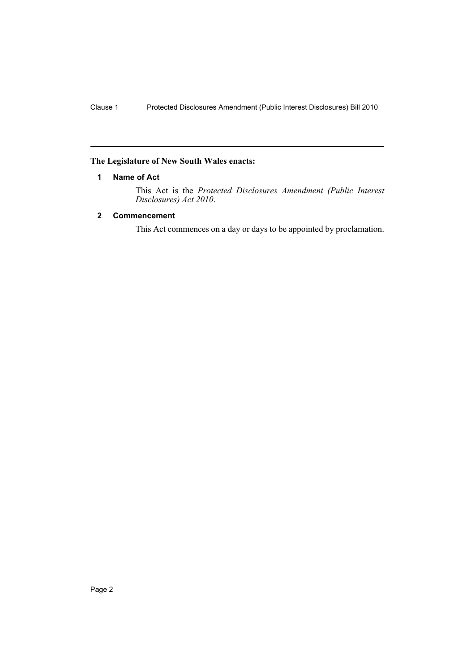## <span id="page-2-0"></span>**The Legislature of New South Wales enacts:**

## **1 Name of Act**

This Act is the *Protected Disclosures Amendment (Public Interest Disclosures) Act 2010*.

## <span id="page-2-1"></span>**2 Commencement**

This Act commences on a day or days to be appointed by proclamation.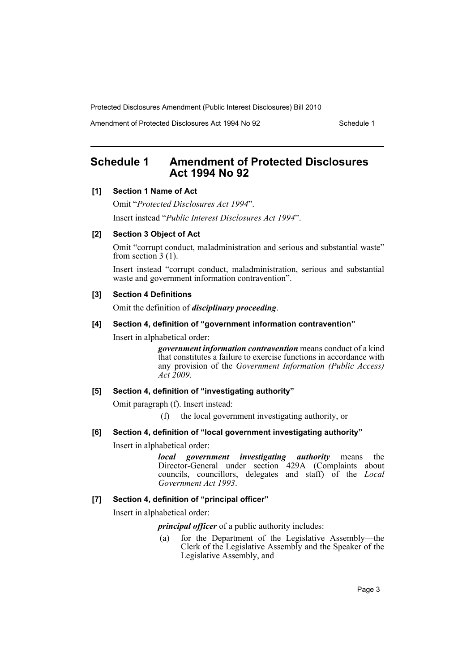Amendment of Protected Disclosures Act 1994 No 92 Schedule 1

## <span id="page-3-0"></span>**Schedule 1 Amendment of Protected Disclosures Act 1994 No 92**

## **[1] Section 1 Name of Act**

Omit "*Protected Disclosures Act 1994*". Insert instead "*Public Interest Disclosures Act 1994*".

## **[2] Section 3 Object of Act**

Omit "corrupt conduct, maladministration and serious and substantial waste" from section  $3(1)$ .

Insert instead "corrupt conduct, maladministration, serious and substantial waste and government information contravention".

#### **[3] Section 4 Definitions**

Omit the definition of *disciplinary proceeding*.

## **[4] Section 4, definition of "government information contravention"**

Insert in alphabetical order:

*government information contravention* means conduct of a kind that constitutes a failure to exercise functions in accordance with any provision of the *Government Information (Public Access) Act 2009*.

## **[5] Section 4, definition of "investigating authority"**

Omit paragraph (f). Insert instead:

(f) the local government investigating authority, or

**[6] Section 4, definition of "local government investigating authority"**

Insert in alphabetical order:

*local government investigating authority* means the Director-General under section 429A (Complaints about councils, councillors, delegates and staff) of the *Local Government Act 1993*.

## **[7] Section 4, definition of "principal officer"**

Insert in alphabetical order:

*principal officer* of a public authority includes:

(a) for the Department of the Legislative Assembly—the Clerk of the Legislative Assembly and the Speaker of the Legislative Assembly, and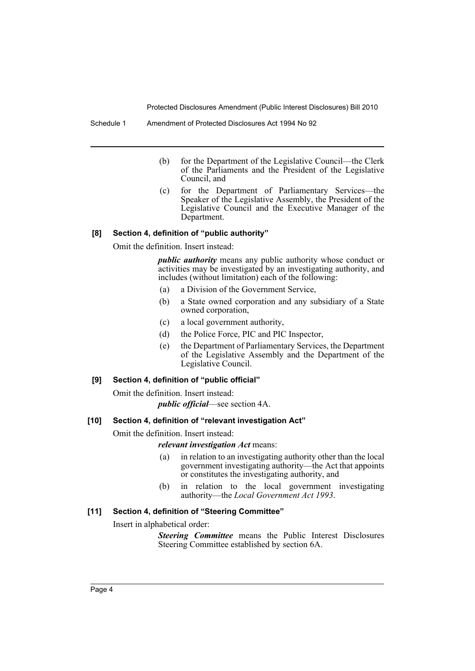- (b) for the Department of the Legislative Council—the Clerk of the Parliaments and the President of the Legislative Council, and
- (c) for the Department of Parliamentary Services—the Speaker of the Legislative Assembly, the President of the Legislative Council and the Executive Manager of the Department.

#### **[8] Section 4, definition of "public authority"**

Omit the definition. Insert instead:

*public authority* means any public authority whose conduct or activities may be investigated by an investigating authority, and includes (without limitation) each of the following:

- (a) a Division of the Government Service,
- (b) a State owned corporation and any subsidiary of a State owned corporation,
- (c) a local government authority,
- (d) the Police Force, PIC and PIC Inspector,
- (e) the Department of Parliamentary Services, the Department of the Legislative Assembly and the Department of the Legislative Council.

#### **[9] Section 4, definition of "public official"**

Omit the definition. Insert instead:

*public official*—see section 4A.

#### **[10] Section 4, definition of "relevant investigation Act"**

Omit the definition. Insert instead:

*relevant investigation Act* means:

- (a) in relation to an investigating authority other than the local government investigating authority—the Act that appoints or constitutes the investigating authority, and
- (b) in relation to the local government investigating authority—the *Local Government Act 1993*.

#### **[11] Section 4, definition of "Steering Committee"**

Insert in alphabetical order:

*Steering Committee* means the Public Interest Disclosures Steering Committee established by section 6A.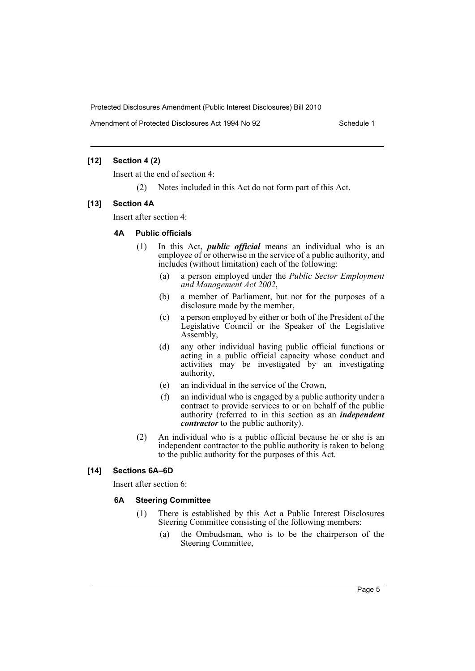Amendment of Protected Disclosures Act 1994 No 92 Schedule 1

## **[12] Section 4 (2)**

Insert at the end of section 4:

(2) Notes included in this Act do not form part of this Act.

## **[13] Section 4A**

Insert after section 4:

## **4A Public officials**

- (1) In this Act, *public official* means an individual who is an employee of or otherwise in the service of a public authority, and includes (without limitation) each of the following:
	- (a) a person employed under the *Public Sector Employment and Management Act 2002*,
	- (b) a member of Parliament, but not for the purposes of a disclosure made by the member,
	- (c) a person employed by either or both of the President of the Legislative Council or the Speaker of the Legislative Assembly,
	- (d) any other individual having public official functions or acting in a public official capacity whose conduct and activities may be investigated by an investigating authority,
	- (e) an individual in the service of the Crown,
	- (f) an individual who is engaged by a public authority under a contract to provide services to or on behalf of the public authority (referred to in this section as an *independent contractor* to the public authority).
- (2) An individual who is a public official because he or she is an independent contractor to the public authority is taken to belong to the public authority for the purposes of this Act.

## **[14] Sections 6A–6D**

Insert after section 6:

## **6A Steering Committee**

- (1) There is established by this Act a Public Interest Disclosures Steering Committee consisting of the following members:
	- (a) the Ombudsman, who is to be the chairperson of the Steering Committee,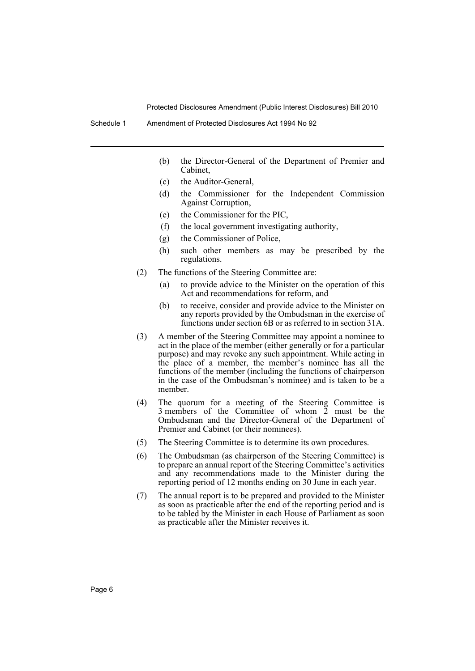- (b) the Director-General of the Department of Premier and Cabinet,
- (c) the Auditor-General,
- (d) the Commissioner for the Independent Commission Against Corruption,
- (e) the Commissioner for the PIC,
- (f) the local government investigating authority,
- (g) the Commissioner of Police,
- (h) such other members as may be prescribed by the regulations.
- (2) The functions of the Steering Committee are:
	- (a) to provide advice to the Minister on the operation of this Act and recommendations for reform, and
	- (b) to receive, consider and provide advice to the Minister on any reports provided by the Ombudsman in the exercise of functions under section 6B or as referred to in section 31A.
- (3) A member of the Steering Committee may appoint a nominee to act in the place of the member (either generally or for a particular purpose) and may revoke any such appointment. While acting in the place of a member, the member's nominee has all the functions of the member (including the functions of chairperson in the case of the Ombudsman's nominee) and is taken to be a member.
- (4) The quorum for a meeting of the Steering Committee is 3 members of the Committee of whom 2 must be the Ombudsman and the Director-General of the Department of Premier and Cabinet (or their nominees).
- (5) The Steering Committee is to determine its own procedures.
- (6) The Ombudsman (as chairperson of the Steering Committee) is to prepare an annual report of the Steering Committee's activities and any recommendations made to the Minister during the reporting period of 12 months ending on 30 June in each year.
- (7) The annual report is to be prepared and provided to the Minister as soon as practicable after the end of the reporting period and is to be tabled by the Minister in each House of Parliament as soon as practicable after the Minister receives it.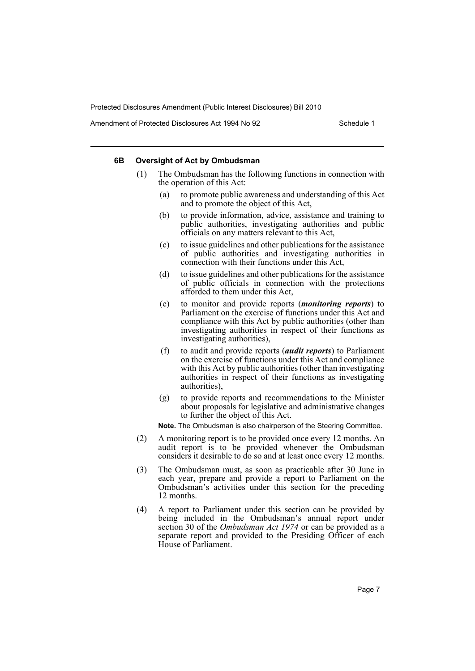Amendment of Protected Disclosures Act 1994 No 92 Schedule 1

#### **6B Oversight of Act by Ombudsman**

- (1) The Ombudsman has the following functions in connection with the operation of this Act:
	- (a) to promote public awareness and understanding of this Act and to promote the object of this Act,
	- (b) to provide information, advice, assistance and training to public authorities, investigating authorities and public officials on any matters relevant to this Act,
	- (c) to issue guidelines and other publications for the assistance of public authorities and investigating authorities in connection with their functions under this Act,
	- (d) to issue guidelines and other publications for the assistance of public officials in connection with the protections afforded to them under this Act,
	- (e) to monitor and provide reports (*monitoring reports*) to Parliament on the exercise of functions under this Act and compliance with this Act by public authorities (other than investigating authorities in respect of their functions as investigating authorities),
	- (f) to audit and provide reports (*audit reports*) to Parliament on the exercise of functions under this Act and compliance with this Act by public authorities (other than investigating authorities in respect of their functions as investigating authorities),
	- (g) to provide reports and recommendations to the Minister about proposals for legislative and administrative changes to further the object of this Act.

**Note.** The Ombudsman is also chairperson of the Steering Committee.

- (2) A monitoring report is to be provided once every 12 months. An audit report is to be provided whenever the Ombudsman considers it desirable to do so and at least once every 12 months.
- (3) The Ombudsman must, as soon as practicable after 30 June in each year, prepare and provide a report to Parliament on the Ombudsman's activities under this section for the preceding 12 months.
- (4) A report to Parliament under this section can be provided by being included in the Ombudsman's annual report under section 30 of the *Ombudsman Act 1974* or can be provided as a separate report and provided to the Presiding Officer of each House of Parliament.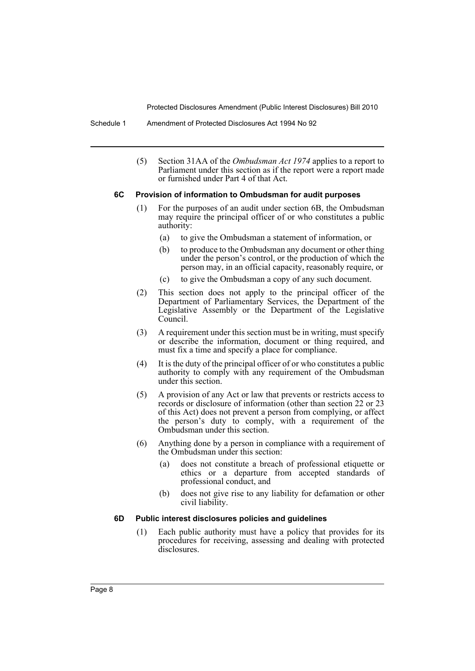Schedule 1 Amendment of Protected Disclosures Act 1994 No 92

(5) Section 31AA of the *Ombudsman Act 1974* applies to a report to Parliament under this section as if the report were a report made or furnished under Part 4 of that Act.

#### **6C Provision of information to Ombudsman for audit purposes**

- (1) For the purposes of an audit under section 6B, the Ombudsman may require the principal officer of or who constitutes a public authority:
	- (a) to give the Ombudsman a statement of information, or
	- (b) to produce to the Ombudsman any document or other thing under the person's control, or the production of which the person may, in an official capacity, reasonably require, or
	- (c) to give the Ombudsman a copy of any such document.
- (2) This section does not apply to the principal officer of the Department of Parliamentary Services, the Department of the Legislative Assembly or the Department of the Legislative Council.
- (3) A requirement under this section must be in writing, must specify or describe the information, document or thing required, and must fix a time and specify a place for compliance.
- (4) It is the duty of the principal officer of or who constitutes a public authority to comply with any requirement of the Ombudsman under this section.
- (5) A provision of any Act or law that prevents or restricts access to records or disclosure of information (other than section 22 or 23 of this Act) does not prevent a person from complying, or affect the person's duty to comply, with a requirement of the Ombudsman under this section.
- (6) Anything done by a person in compliance with a requirement of the Ombudsman under this section:
	- (a) does not constitute a breach of professional etiquette or ethics or a departure from accepted standards of professional conduct, and
	- (b) does not give rise to any liability for defamation or other civil liability.

#### **6D Public interest disclosures policies and guidelines**

(1) Each public authority must have a policy that provides for its procedures for receiving, assessing and dealing with protected disclosures.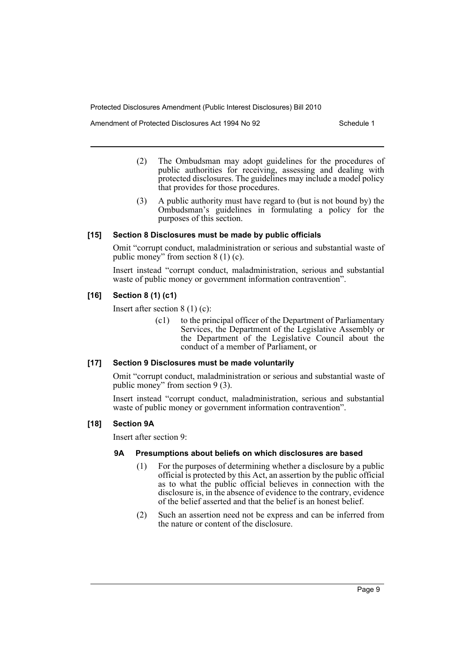Amendment of Protected Disclosures Act 1994 No 92 Schedule 1

- (2) The Ombudsman may adopt guidelines for the procedures of public authorities for receiving, assessing and dealing with protected disclosures. The guidelines may include a model policy that provides for those procedures.
- (3) A public authority must have regard to (but is not bound by) the Ombudsman's guidelines in formulating a policy for the purposes of this section.

## **[15] Section 8 Disclosures must be made by public officials**

Omit "corrupt conduct, maladministration or serious and substantial waste of public money" from section 8 (1) (c).

Insert instead "corrupt conduct, maladministration, serious and substantial waste of public money or government information contravention".

## **[16] Section 8 (1) (c1)**

Insert after section 8 (1) (c):

(c1) to the principal officer of the Department of Parliamentary Services, the Department of the Legislative Assembly or the Department of the Legislative Council about the conduct of a member of Parliament, or

#### **[17] Section 9 Disclosures must be made voluntarily**

Omit "corrupt conduct, maladministration or serious and substantial waste of public money" from section 9 (3).

Insert instead "corrupt conduct, maladministration, serious and substantial waste of public money or government information contravention".

## **[18] Section 9A**

Insert after section 9:

## **9A Presumptions about beliefs on which disclosures are based**

- (1) For the purposes of determining whether a disclosure by a public official is protected by this Act, an assertion by the public official as to what the public official believes in connection with the disclosure is, in the absence of evidence to the contrary, evidence of the belief asserted and that the belief is an honest belief.
- (2) Such an assertion need not be express and can be inferred from the nature or content of the disclosure.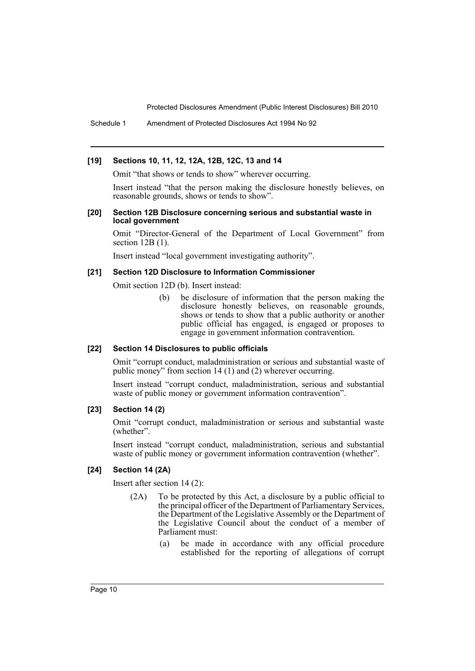Schedule 1 Amendment of Protected Disclosures Act 1994 No 92

#### **[19] Sections 10, 11, 12, 12A, 12B, 12C, 13 and 14**

Omit "that shows or tends to show" wherever occurring.

Insert instead "that the person making the disclosure honestly believes, on reasonable grounds, shows or tends to show".

#### **[20] Section 12B Disclosure concerning serious and substantial waste in local government**

Omit "Director-General of the Department of Local Government" from section 12B (1).

Insert instead "local government investigating authority".

#### **[21] Section 12D Disclosure to Information Commissioner**

Omit section 12D (b). Insert instead:

(b) be disclosure of information that the person making the disclosure honestly believes, on reasonable grounds, shows or tends to show that a public authority or another public official has engaged, is engaged or proposes to engage in government information contravention.

#### **[22] Section 14 Disclosures to public officials**

Omit "corrupt conduct, maladministration or serious and substantial waste of public money" from section 14 (1) and (2) wherever occurring.

Insert instead "corrupt conduct, maladministration, serious and substantial waste of public money or government information contravention".

#### **[23] Section 14 (2)**

Omit "corrupt conduct, maladministration or serious and substantial waste (whether".

Insert instead "corrupt conduct, maladministration, serious and substantial waste of public money or government information contravention (whether".

#### **[24] Section 14 (2A)**

Insert after section 14 (2):

- (2A) To be protected by this Act, a disclosure by a public official to the principal officer of the Department of Parliamentary Services, the Department of the Legislative Assembly or the Department of the Legislative Council about the conduct of a member of Parliament must:
	- (a) be made in accordance with any official procedure established for the reporting of allegations of corrupt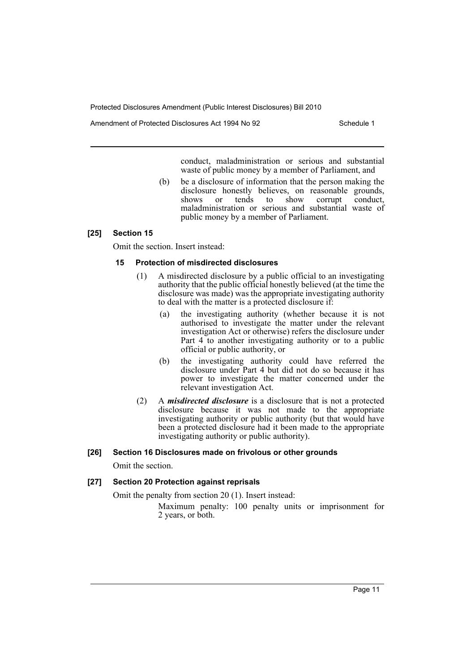Amendment of Protected Disclosures Act 1994 No 92 Schedule 1

conduct, maladministration or serious and substantial waste of public money by a member of Parliament, and

(b) be a disclosure of information that the person making the disclosure honestly believes, on reasonable grounds,<br>shows or tends to show corrupt conduct shows or tends to show corrupt conduct, maladministration or serious and substantial waste of public money by a member of Parliament.

## **[25] Section 15**

Omit the section. Insert instead:

## **15 Protection of misdirected disclosures**

- (1) A misdirected disclosure by a public official to an investigating authority that the public official honestly believed (at the time the disclosure was made) was the appropriate investigating authority to deal with the matter is a protected disclosure if:
	- (a) the investigating authority (whether because it is not authorised to investigate the matter under the relevant investigation Act or otherwise) refers the disclosure under Part 4 to another investigating authority or to a public official or public authority, or
	- (b) the investigating authority could have referred the disclosure under Part 4 but did not do so because it has power to investigate the matter concerned under the relevant investigation Act.
- (2) A *misdirected disclosure* is a disclosure that is not a protected disclosure because it was not made to the appropriate investigating authority or public authority (but that would have been a protected disclosure had it been made to the appropriate investigating authority or public authority).

## **[26] Section 16 Disclosures made on frivolous or other grounds**

Omit the section.

## **[27] Section 20 Protection against reprisals**

Omit the penalty from section 20 (1). Insert instead:

Maximum penalty: 100 penalty units or imprisonment for 2 years, or both.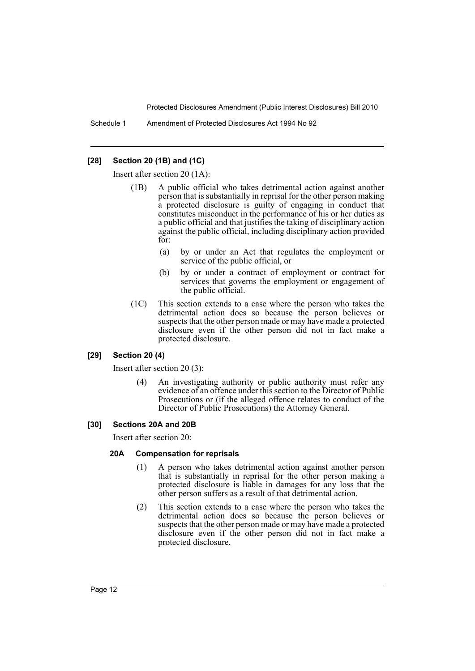Schedule 1 Amendment of Protected Disclosures Act 1994 No 92

## **[28] Section 20 (1B) and (1C)**

Insert after section 20 (1A):

- (1B) A public official who takes detrimental action against another person that is substantially in reprisal for the other person making a protected disclosure is guilty of engaging in conduct that constitutes misconduct in the performance of his or her duties as a public official and that justifies the taking of disciplinary action against the public official, including disciplinary action provided for:
	- (a) by or under an Act that regulates the employment or service of the public official, or
	- (b) by or under a contract of employment or contract for services that governs the employment or engagement of the public official.
- (1C) This section extends to a case where the person who takes the detrimental action does so because the person believes or suspects that the other person made or may have made a protected disclosure even if the other person did not in fact make a protected disclosure.

#### **[29] Section 20 (4)**

Insert after section 20 (3):

An investigating authority or public authority must refer any evidence of an offence under this section to the Director of Public Prosecutions or (if the alleged offence relates to conduct of the Director of Public Prosecutions) the Attorney General.

## **[30] Sections 20A and 20B**

Insert after section 20:

#### **20A Compensation for reprisals**

- (1) A person who takes detrimental action against another person that is substantially in reprisal for the other person making a protected disclosure is liable in damages for any loss that the other person suffers as a result of that detrimental action.
- (2) This section extends to a case where the person who takes the detrimental action does so because the person believes or suspects that the other person made or may have made a protected disclosure even if the other person did not in fact make a protected disclosure.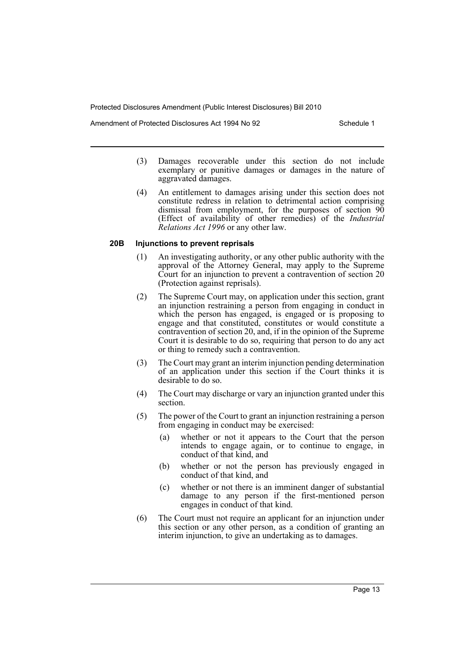Amendment of Protected Disclosures Act 1994 No 92 Schedule 1

- (3) Damages recoverable under this section do not include exemplary or punitive damages or damages in the nature of aggravated damages.
- (4) An entitlement to damages arising under this section does not constitute redress in relation to detrimental action comprising dismissal from employment, for the purposes of section 90 (Effect of availability of other remedies) of the *Industrial Relations Act 1996* or any other law.

#### **20B Injunctions to prevent reprisals**

- (1) An investigating authority, or any other public authority with the approval of the Attorney General, may apply to the Supreme Court for an injunction to prevent a contravention of section 20 (Protection against reprisals).
- (2) The Supreme Court may, on application under this section, grant an injunction restraining a person from engaging in conduct in which the person has engaged, is engaged or is proposing to engage and that constituted, constitutes or would constitute a contravention of section 20, and, if in the opinion of the Supreme Court it is desirable to do so, requiring that person to do any act or thing to remedy such a contravention.
- (3) The Court may grant an interim injunction pending determination of an application under this section if the Court thinks it is desirable to do so.
- (4) The Court may discharge or vary an injunction granted under this section.
- (5) The power of the Court to grant an injunction restraining a person from engaging in conduct may be exercised:
	- (a) whether or not it appears to the Court that the person intends to engage again, or to continue to engage, in conduct of that kind, and
	- (b) whether or not the person has previously engaged in conduct of that kind, and
	- (c) whether or not there is an imminent danger of substantial damage to any person if the first-mentioned person engages in conduct of that kind.
- (6) The Court must not require an applicant for an injunction under this section or any other person, as a condition of granting an interim injunction, to give an undertaking as to damages.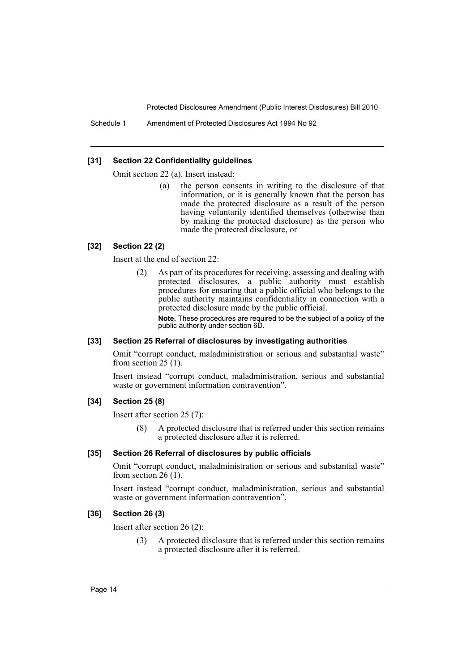Schedule 1 Amendment of Protected Disclosures Act 1994 No 92

#### **[31] Section 22 Confidentiality guidelines**

Omit section 22 (a). Insert instead:

(a) the person consents in writing to the disclosure of that information, or it is generally known that the person has made the protected disclosure as a result of the person having voluntarily identified themselves (otherwise than by making the protected disclosure) as the person who made the protected disclosure, or

#### **[32] Section 22 (2)**

Insert at the end of section 22:

(2) As part of its procedures for receiving, assessing and dealing with protected disclosures, a public authority must establish procedures for ensuring that a public official who belongs to the public authority maintains confidentiality in connection with a protected disclosure made by the public official.

**Note.** These procedures are required to be the subject of a policy of the public authority under section 6D.

#### **[33] Section 25 Referral of disclosures by investigating authorities**

Omit "corrupt conduct, maladministration or serious and substantial waste" from section  $25(1)$ .

Insert instead "corrupt conduct, maladministration, serious and substantial waste or government information contravention".

#### **[34] Section 25 (8)**

Insert after section 25 (7):

(8) A protected disclosure that is referred under this section remains a protected disclosure after it is referred.

#### **[35] Section 26 Referral of disclosures by public officials**

Omit "corrupt conduct, maladministration or serious and substantial waste" from section  $26(1)$ .

Insert instead "corrupt conduct, maladministration, serious and substantial waste or government information contravention".

#### **[36] Section 26 (3)**

Insert after section 26 (2):

(3) A protected disclosure that is referred under this section remains a protected disclosure after it is referred.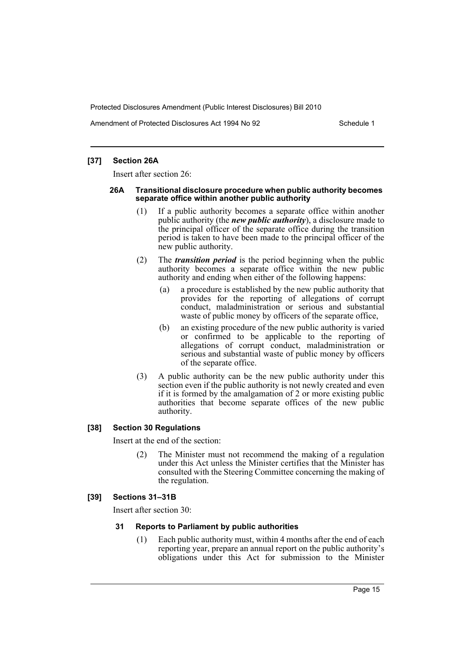Amendment of Protected Disclosures Act 1994 No 92 Schedule 1

#### **[37] Section 26A**

Insert after section 26:

#### **26A Transitional disclosure procedure when public authority becomes separate office within another public authority**

- (1) If a public authority becomes a separate office within another public authority (the *new public authority*), a disclosure made to the principal officer of the separate office during the transition period is taken to have been made to the principal officer of the new public authority.
- (2) The *transition period* is the period beginning when the public authority becomes a separate office within the new public authority and ending when either of the following happens:
	- (a) a procedure is established by the new public authority that provides for the reporting of allegations of corrupt conduct, maladministration or serious and substantial waste of public money by officers of the separate office,
	- (b) an existing procedure of the new public authority is varied or confirmed to be applicable to the reporting of allegations of corrupt conduct, maladministration or serious and substantial waste of public money by officers of the separate office.
- (3) A public authority can be the new public authority under this section even if the public authority is not newly created and even if it is formed by the amalgamation of 2 or more existing public authorities that become separate offices of the new public authority.

#### **[38] Section 30 Regulations**

Insert at the end of the section:

(2) The Minister must not recommend the making of a regulation under this Act unless the Minister certifies that the Minister has consulted with the Steering Committee concerning the making of the regulation.

#### **[39] Sections 31–31B**

Insert after section 30:

#### **31 Reports to Parliament by public authorities**

(1) Each public authority must, within 4 months after the end of each reporting year, prepare an annual report on the public authority's obligations under this Act for submission to the Minister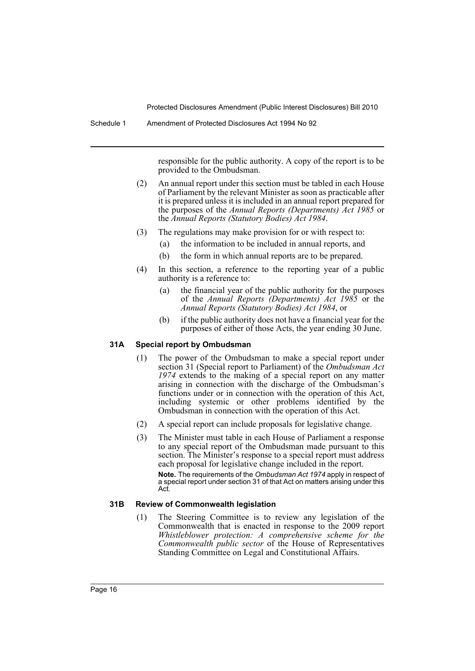Schedule 1 Amendment of Protected Disclosures Act 1994 No 92

responsible for the public authority. A copy of the report is to be provided to the Ombudsman.

- (2) An annual report under this section must be tabled in each House of Parliament by the relevant Minister as soon as practicable after it is prepared unless it is included in an annual report prepared for the purposes of the *Annual Reports (Departments) Act 1985* or the *Annual Reports (Statutory Bodies) Act 1984*.
- (3) The regulations may make provision for or with respect to:
	- (a) the information to be included in annual reports, and
	- (b) the form in which annual reports are to be prepared.
- (4) In this section, a reference to the reporting year of a public authority is a reference to:
	- (a) the financial year of the public authority for the purposes of the *Annual Reports (Departments) Act 1985* or the *Annual Reports (Statutory Bodies) Act 1984*, or
	- (b) if the public authority does not have a financial year for the purposes of either of those Acts, the year ending 30 June.

#### **31A Special report by Ombudsman**

- (1) The power of the Ombudsman to make a special report under section 31 (Special report to Parliament) of the *Ombudsman Act 1974* extends to the making of a special report on any matter arising in connection with the discharge of the Ombudsman's functions under or in connection with the operation of this Act, including systemic or other problems identified by the Ombudsman in connection with the operation of this Act.
- (2) A special report can include proposals for legislative change.
- (3) The Minister must table in each House of Parliament a response to any special report of the Ombudsman made pursuant to this section. The Minister's response to a special report must address each proposal for legislative change included in the report. **Note.** The requirements of the *Ombudsman Act 1974* apply in respect of a special report under section 31 of that Act on matters arising under this Act.

#### **31B Review of Commonwealth legislation**

(1) The Steering Committee is to review any legislation of the Commonwealth that is enacted in response to the 2009 report *Whistleblower protection: A comprehensive scheme for the Commonwealth public sector* of the House of Representatives Standing Committee on Legal and Constitutional Affairs.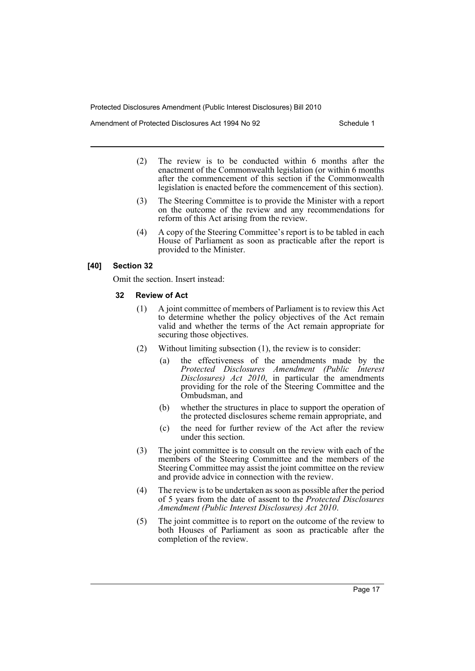Amendment of Protected Disclosures Act 1994 No 92 Schedule 1

- (2) The review is to be conducted within 6 months after the enactment of the Commonwealth legislation (or within 6 months after the commencement of this section if the Commonwealth legislation is enacted before the commencement of this section).
- (3) The Steering Committee is to provide the Minister with a report on the outcome of the review and any recommendations for reform of this Act arising from the review.
- (4) A copy of the Steering Committee's report is to be tabled in each House of Parliament as soon as practicable after the report is provided to the Minister.

## **[40] Section 32**

Omit the section. Insert instead:

## **32 Review of Act**

- (1) A joint committee of members of Parliament is to review this Act to determine whether the policy objectives of the Act remain valid and whether the terms of the Act remain appropriate for securing those objectives.
- (2) Without limiting subsection (1), the review is to consider:
	- (a) the effectiveness of the amendments made by the *Protected Disclosures Amendment (Public Interest Disclosures) Act 2010*, in particular the amendments providing for the role of the Steering Committee and the Ombudsman, and
	- (b) whether the structures in place to support the operation of the protected disclosures scheme remain appropriate, and
	- (c) the need for further review of the Act after the review under this section.
- (3) The joint committee is to consult on the review with each of the members of the Steering Committee and the members of the Steering Committee may assist the joint committee on the review and provide advice in connection with the review.
- (4) The review is to be undertaken as soon as possible after the period of 5 years from the date of assent to the *Protected Disclosures Amendment (Public Interest Disclosures) Act 2010*.
- (5) The joint committee is to report on the outcome of the review to both Houses of Parliament as soon as practicable after the completion of the review.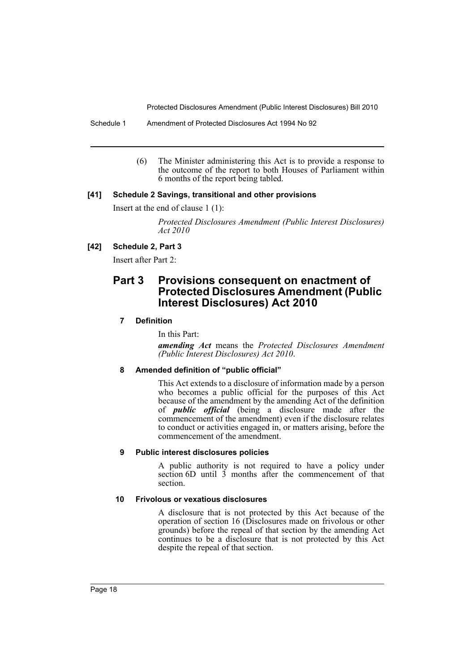Schedule 1 Amendment of Protected Disclosures Act 1994 No 92

(6) The Minister administering this Act is to provide a response to the outcome of the report to both Houses of Parliament within 6 months of the report being tabled.

## **[41] Schedule 2 Savings, transitional and other provisions**

Insert at the end of clause 1 (1):

*Protected Disclosures Amendment (Public Interest Disclosures) Act 2010*

## **[42] Schedule 2, Part 3**

Insert after Part 2:

## **Part 3 Provisions consequent on enactment of Protected Disclosures Amendment (Public Interest Disclosures) Act 2010**

## **7 Definition**

In this Part:

*amending Act* means the *Protected Disclosures Amendment (Public Interest Disclosures) Act 2010*.

## **8 Amended definition of "public official"**

This Act extends to a disclosure of information made by a person who becomes a public official for the purposes of this Act because of the amendment by the amending Act of the definition of *public official* (being a disclosure made after the commencement of the amendment) even if the disclosure relates to conduct or activities engaged in, or matters arising, before the commencement of the amendment.

## **9 Public interest disclosures policies**

A public authority is not required to have a policy under section 6D until 3 months after the commencement of that section.

#### **10 Frivolous or vexatious disclosures**

A disclosure that is not protected by this Act because of the operation of section 16 (Disclosures made on frivolous or other grounds) before the repeal of that section by the amending Act continues to be a disclosure that is not protected by this Act despite the repeal of that section.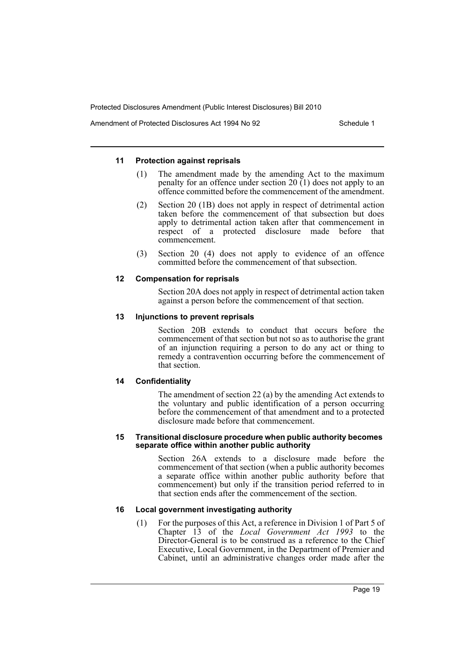Amendment of Protected Disclosures Act 1994 No 92 Schedule 1

#### **11 Protection against reprisals**

- (1) The amendment made by the amending Act to the maximum penalty for an offence under section 20 (1) does not apply to an offence committed before the commencement of the amendment.
- (2) Section 20 (1B) does not apply in respect of detrimental action taken before the commencement of that subsection but does apply to detrimental action taken after that commencement in respect of a protected disclosure made before that commencement.
- (3) Section 20 (4) does not apply to evidence of an offence committed before the commencement of that subsection.

#### **12 Compensation for reprisals**

Section 20A does not apply in respect of detrimental action taken against a person before the commencement of that section.

#### **13 Injunctions to prevent reprisals**

Section 20B extends to conduct that occurs before the commencement of that section but not so as to authorise the grant of an injunction requiring a person to do any act or thing to remedy a contravention occurring before the commencement of that section.

#### **14 Confidentiality**

The amendment of section 22 (a) by the amending Act extends to the voluntary and public identification of a person occurring before the commencement of that amendment and to a protected disclosure made before that commencement.

#### **15 Transitional disclosure procedure when public authority becomes separate office within another public authority**

Section 26A extends to a disclosure made before the commencement of that section (when a public authority becomes a separate office within another public authority before that commencement) but only if the transition period referred to in that section ends after the commencement of the section.

#### **16 Local government investigating authority**

(1) For the purposes of this Act, a reference in Division 1 of Part 5 of Chapter 13 of the *Local Government Act 1993* to the Director-General is to be construed as a reference to the Chief Executive, Local Government, in the Department of Premier and Cabinet, until an administrative changes order made after the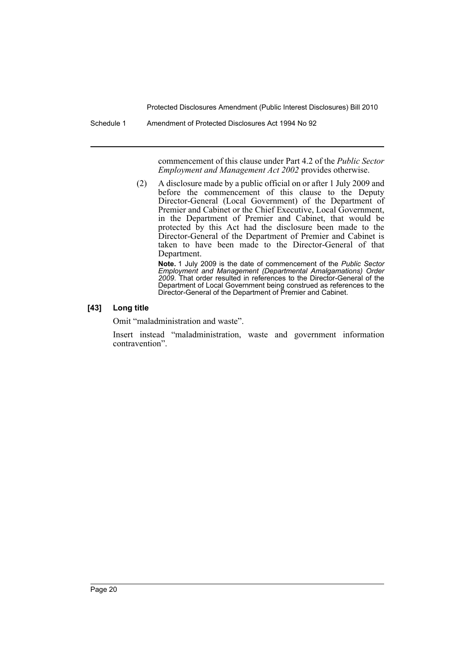Schedule 1 Amendment of Protected Disclosures Act 1994 No 92

commencement of this clause under Part 4.2 of the *Public Sector Employment and Management Act 2002* provides otherwise.

(2) A disclosure made by a public official on or after 1 July 2009 and before the commencement of this clause to the Deputy Director-General (Local Government) of the Department of Premier and Cabinet or the Chief Executive, Local Government, in the Department of Premier and Cabinet, that would be protected by this Act had the disclosure been made to the Director-General of the Department of Premier and Cabinet is taken to have been made to the Director-General of that Department.

**Note.** 1 July 2009 is the date of commencement of the *Public Sector Employment and Management (Departmental Amalgamations) Order 2009*. That order resulted in references to the Director-General of the Department of Local Government being construed as references to the Director-General of the Department of Premier and Cabinet.

## **[43] Long title**

Omit "maladministration and waste".

Insert instead "maladministration, waste and government information contravention".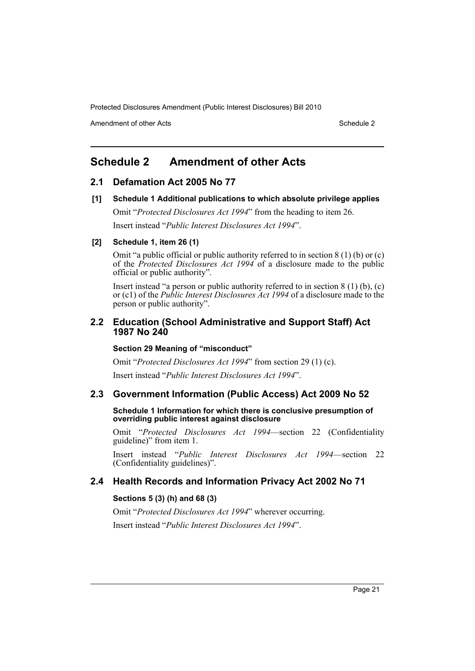Amendment of other Acts **Schedule 2** and the 2 and the 2 and 2 and 2 and 2 and 2 and 2 and 2 and 2 and 2 and 2 and 2 and 2 and 2 and 2 and 2 and 2 and 2 and 2 and 2 and 2 and 2 and 2 and 2 and 2 and 2 and 2 and 2 and 2 and

# <span id="page-21-0"></span>**Schedule 2 Amendment of other Acts**

## **2.1 Defamation Act 2005 No 77**

**[1] Schedule 1 Additional publications to which absolute privilege applies**

Omit "*Protected Disclosures Act 1994*" from the heading to item 26.

Insert instead "*Public Interest Disclosures Act 1994*".

## **[2] Schedule 1, item 26 (1)**

Omit "a public official or public authority referred to in section 8 (1) (b) or (c) of the *Protected Disclosures Act 1994* of a disclosure made to the public official or public authority".

Insert instead "a person or public authority referred to in section 8 (1) (b), (c) or (c1) of the *Public Interest Disclosures Act 1994* of a disclosure made to the person or public authority".

## **2.2 Education (School Administrative and Support Staff) Act 1987 No 240**

#### **Section 29 Meaning of "misconduct"**

Omit "*Protected Disclosures Act 1994*" from section 29 (1) (c).

Insert instead "*Public Interest Disclosures Act 1994*".

## **2.3 Government Information (Public Access) Act 2009 No 52**

**Schedule 1 Information for which there is conclusive presumption of overriding public interest against disclosure**

Omit "*Protected Disclosures Act 1994*—section 22 (Confidentiality guideline)" from item 1.

Insert instead "*Public Interest Disclosures Act 1994*—section 22 (Confidentiality guidelines)".

## **2.4 Health Records and Information Privacy Act 2002 No 71**

## **Sections 5 (3) (h) and 68 (3)**

Omit "*Protected Disclosures Act 1994*" wherever occurring. Insert instead "*Public Interest Disclosures Act 1994*".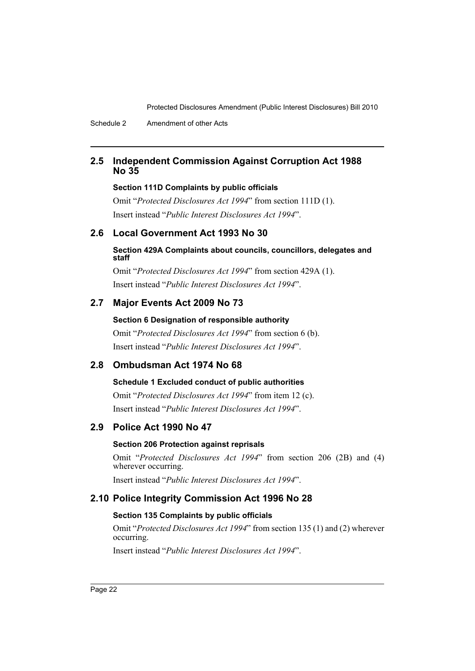## **2.5 Independent Commission Against Corruption Act 1988 No 35**

## **Section 111D Complaints by public officials**

Omit "*Protected Disclosures Act 1994*" from section 111D (1). Insert instead "*Public Interest Disclosures Act 1994*".

## **2.6 Local Government Act 1993 No 30**

## **Section 429A Complaints about councils, councillors, delegates and staff**

Omit "*Protected Disclosures Act 1994*" from section 429A (1). Insert instead "*Public Interest Disclosures Act 1994*".

## **2.7 Major Events Act 2009 No 73**

## **Section 6 Designation of responsible authority**

Omit "*Protected Disclosures Act 1994*" from section 6 (b). Insert instead "*Public Interest Disclosures Act 1994*".

## **2.8 Ombudsman Act 1974 No 68**

## **Schedule 1 Excluded conduct of public authorities**

Omit "*Protected Disclosures Act 1994*" from item 12 (c). Insert instead "*Public Interest Disclosures Act 1994*".

## **2.9 Police Act 1990 No 47**

## **Section 206 Protection against reprisals**

Omit "*Protected Disclosures Act 1994*" from section 206 (2B) and (4) wherever occurring.

Insert instead "*Public Interest Disclosures Act 1994*".

## **2.10 Police Integrity Commission Act 1996 No 28**

## **Section 135 Complaints by public officials**

Omit "*Protected Disclosures Act 1994*" from section 135 (1) and (2) wherever occurring.

Insert instead "*Public Interest Disclosures Act 1994*".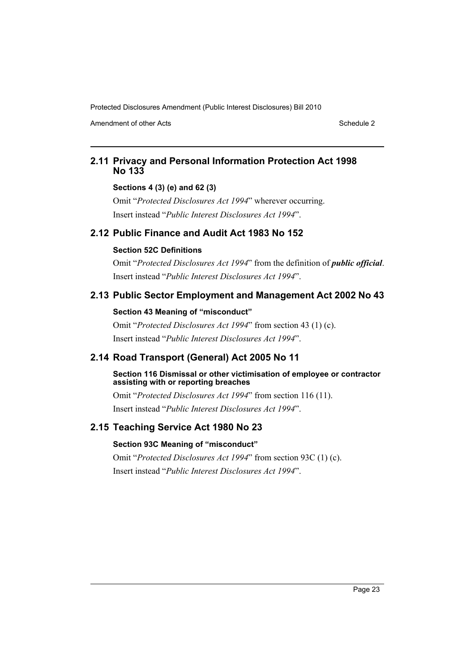Amendment of other Acts **Schedule 2** and the 2 and the 2 and 2 and 2 and 2 and 2 and 2 and 2 and 2 and 2 and 2 and 2 and 2 and 2 and 2 and 2 and 2 and 2 and 2 and 2 and 2 and 2 and 2 and 2 and 2 and 2 and 2 and 2 and 2 and

## **2.11 Privacy and Personal Information Protection Act 1998 No 133**

## **Sections 4 (3) (e) and 62 (3)**

Omit "*Protected Disclosures Act 1994*" wherever occurring. Insert instead "*Public Interest Disclosures Act 1994*".

## **2.12 Public Finance and Audit Act 1983 No 152**

## **Section 52C Definitions**

Omit "*Protected Disclosures Act 1994*" from the definition of *public official*. Insert instead "*Public Interest Disclosures Act 1994*".

## **2.13 Public Sector Employment and Management Act 2002 No 43**

## **Section 43 Meaning of "misconduct"**

Omit "*Protected Disclosures Act 1994*" from section 43 (1) (c). Insert instead "*Public Interest Disclosures Act 1994*".

## **2.14 Road Transport (General) Act 2005 No 11**

#### **Section 116 Dismissal or other victimisation of employee or contractor assisting with or reporting breaches**

Omit "*Protected Disclosures Act 1994*" from section 116 (11). Insert instead "*Public Interest Disclosures Act 1994*".

## **2.15 Teaching Service Act 1980 No 23**

## **Section 93C Meaning of "misconduct"**

Omit "*Protected Disclosures Act 1994*" from section 93C (1) (c). Insert instead "*Public Interest Disclosures Act 1994*".